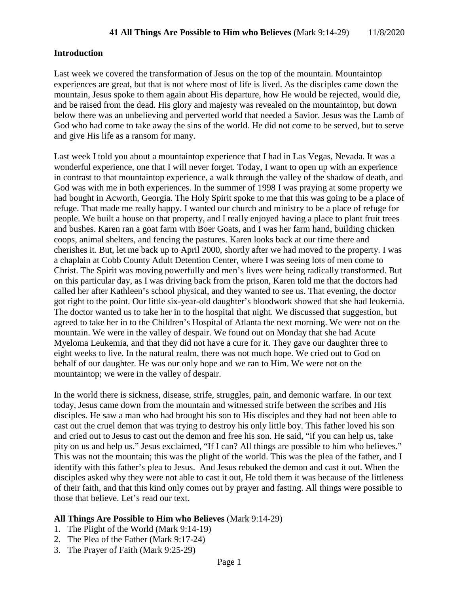### **Introduction**

Last week we covered the transformation of Jesus on the top of the mountain. Mountaintop experiences are great, but that is not where most of life is lived. As the disciples came down the mountain, Jesus spoke to them again about His departure, how He would be rejected, would die, and be raised from the dead. His glory and majesty was revealed on the mountaintop, but down below there was an unbelieving and perverted world that needed a Savior. Jesus was the Lamb of God who had come to take away the sins of the world. He did not come to be served, but to serve and give His life as a ransom for many.

Last week I told you about a mountaintop experience that I had in Las Vegas, Nevada. It was a wonderful experience, one that I will never forget. Today, I want to open up with an experience in contrast to that mountaintop experience, a walk through the valley of the shadow of death, and God was with me in both experiences. In the summer of 1998 I was praying at some property we had bought in Acworth, Georgia. The Holy Spirit spoke to me that this was going to be a place of refuge. That made me really happy. I wanted our church and ministry to be a place of refuge for people. We built a house on that property, and I really enjoyed having a place to plant fruit trees and bushes. Karen ran a goat farm with Boer Goats, and I was her farm hand, building chicken coops, animal shelters, and fencing the pastures. Karen looks back at our time there and cherishes it. But, let me back up to April 2000, shortly after we had moved to the property. I was a chaplain at Cobb County Adult Detention Center, where I was seeing lots of men come to Christ. The Spirit was moving powerfully and men's lives were being radically transformed. But on this particular day, as I was driving back from the prison, Karen told me that the doctors had called her after Kathleen's school physical, and they wanted to see us. That evening, the doctor got right to the point. Our little six-year-old daughter's bloodwork showed that she had leukemia. The doctor wanted us to take her in to the hospital that night. We discussed that suggestion, but agreed to take her in to the Children's Hospital of Atlanta the next morning. We were not on the mountain. We were in the valley of despair. We found out on Monday that she had Acute Myeloma Leukemia, and that they did not have a cure for it. They gave our daughter three to eight weeks to live. In the natural realm, there was not much hope. We cried out to God on behalf of our daughter. He was our only hope and we ran to Him. We were not on the mountaintop; we were in the valley of despair.

In the world there is sickness, disease, strife, struggles, pain, and demonic warfare. In our text today, Jesus came down from the mountain and witnessed strife between the scribes and His disciples. He saw a man who had brought his son to His disciples and they had not been able to cast out the cruel demon that was trying to destroy his only little boy. This father loved his son and cried out to Jesus to cast out the demon and free his son. He said, "if you can help us, take pity on us and help us." Jesus exclaimed, "If I can? All things are possible to him who believes." This was not the mountain; this was the plight of the world. This was the plea of the father, and I identify with this father's plea to Jesus. And Jesus rebuked the demon and cast it out. When the disciples asked why they were not able to cast it out, He told them it was because of the littleness of their faith, and that this kind only comes out by prayer and fasting. All things were possible to those that believe. Let's read our text.

### **All Things Are Possible to Him who Believes** (Mark 9:14-29)

- 1. The Plight of the World (Mark 9:14-19)
- 2. The Plea of the Father (Mark 9:17-24)
- 3. The Prayer of Faith (Mark 9:25-29)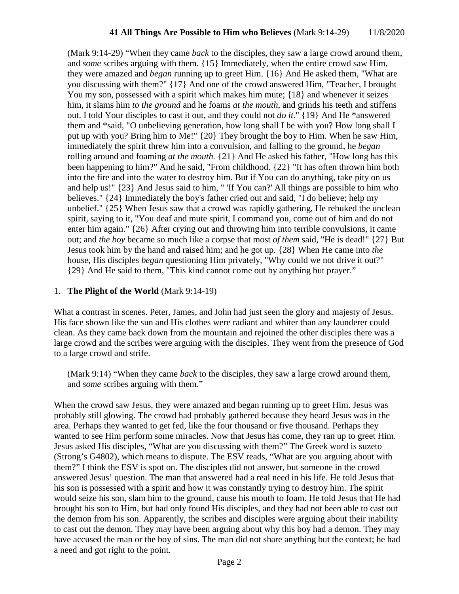(Mark 9:14-29) "When they came *back* to the disciples, they saw a large crowd around them, and *some* scribes arguing with them. {15} Immediately, when the entire crowd saw Him, they were amazed and *began* running up to greet Him. {16} And He asked them, "What are you discussing with them?" {17} And one of the crowd answered Him, "Teacher, I brought You my son, possessed with a spirit which makes him mute;  $\{18\}$  and whenever it seizes him, it slams him *to the ground* and he foams *at the mouth,* and grinds his teeth and stiffens out. I told Your disciples to cast it out, and they could not *do it.*" {19} And He \*answered them and \*said, "O unbelieving generation, how long shall I be with you? How long shall I put up with you? Bring him to Me!" {20} They brought the boy to Him. When he saw Him, immediately the spirit threw him into a convulsion, and falling to the ground, he *began* rolling around and foaming *at the mouth.* {21} And He asked his father, "How long has this been happening to him?" And he said, "From childhood. {22} "It has often thrown him both into the fire and into the water to destroy him. But if You can do anything, take pity on us and help us!" {23} And Jesus said to him, " 'If You can?' All things are possible to him who believes." {24} Immediately the boy's father cried out and said, "I do believe; help my unbelief." {25} When Jesus saw that a crowd was rapidly gathering, He rebuked the unclean spirit, saying to it, "You deaf and mute spirit, I command you, come out of him and do not enter him again." {26} After crying out and throwing him into terrible convulsions, it came out; and *the boy* became so much like a corpse that most *of them* said, "He is dead!" {27} But Jesus took him by the hand and raised him; and he got up. {28} When He came into *the* house, His disciples *began* questioning Him privately, "Why could we not drive it out?" {29} And He said to them, "This kind cannot come out by anything but prayer."

### 1. **The Plight of the World** (Mark 9:14-19)

What a contrast in scenes. Peter, James, and John had just seen the glory and majesty of Jesus. His face shown like the sun and His clothes were radiant and whiter than any launderer could clean. As they came back down from the mountain and rejoined the other disciples there was a large crowd and the scribes were arguing with the disciples. They went from the presence of God to a large crowd and strife.

(Mark 9:14) "When they came *back* to the disciples, they saw a large crowd around them, and *some* scribes arguing with them."

When the crowd saw Jesus, they were amazed and began running up to greet Him. Jesus was probably still glowing. The crowd had probably gathered because they heard Jesus was in the area. Perhaps they wanted to get fed, like the four thousand or five thousand. Perhaps they wanted to see Him perform some miracles. Now that Jesus has come, they ran up to greet Him. Jesus asked His disciples, "What are you discussing with them?" The Greek word is suzeto (Strong's G4802), which means to dispute. The ESV reads, "What are you arguing about with them?" I think the ESV is spot on. The disciples did not answer, but someone in the crowd answered Jesus' question. The man that answered had a real need in his life. He told Jesus that his son is possessed with a spirit and how it was constantly trying to destroy him. The spirit would seize his son, slam him to the ground, cause his mouth to foam. He told Jesus that He had brought his son to Him, but had only found His disciples, and they had not been able to cast out the demon from his son. Apparently, the scribes and disciples were arguing about their inability to cast out the demon. They may have been arguing about why this boy had a demon. They may have accused the man or the boy of sins. The man did not share anything but the context; he had a need and got right to the point.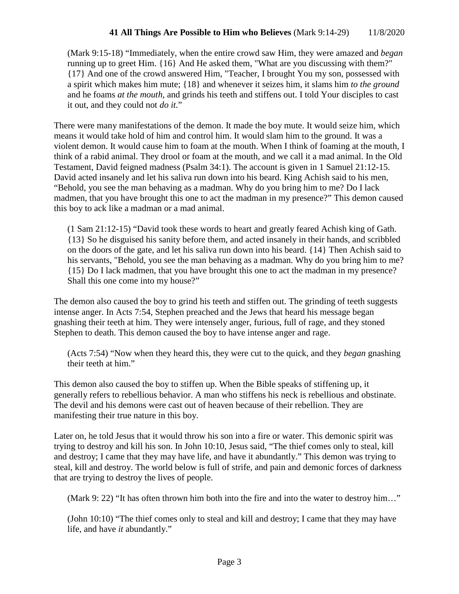## **41 All Things Are Possible to Him who Believes** (Mark 9:14-29) 11/8/2020

(Mark 9:15-18) "Immediately, when the entire crowd saw Him, they were amazed and *began* running up to greet Him. {16} And He asked them, "What are you discussing with them?" {17} And one of the crowd answered Him, "Teacher, I brought You my son, possessed with a spirit which makes him mute; {18} and whenever it seizes him, it slams him *to the ground* and he foams *at the mouth,* and grinds his teeth and stiffens out. I told Your disciples to cast it out, and they could not *do it.*"

There were many manifestations of the demon. It made the boy mute. It would seize him, which means it would take hold of him and control him. It would slam him to the ground. It was a violent demon. It would cause him to foam at the mouth. When I think of foaming at the mouth, I think of a rabid animal. They drool or foam at the mouth, and we call it a mad animal. In the Old Testament, David feigned madness (Psalm 34:1). The account is given in 1 Samuel 21:12-15. David acted insanely and let his saliva run down into his beard. King Achish said to his men, "Behold, you see the man behaving as a madman. Why do you bring him to me? Do I lack madmen, that you have brought this one to act the madman in my presence?" This demon caused this boy to ack like a madman or a mad animal.

(1 Sam 21:12-15) "David took these words to heart and greatly feared Achish king of Gath. {13} So he disguised his sanity before them, and acted insanely in their hands, and scribbled on the doors of the gate, and let his saliva run down into his beard. {14} Then Achish said to his servants, "Behold, you see the man behaving as a madman. Why do you bring him to me? {15} Do I lack madmen, that you have brought this one to act the madman in my presence? Shall this one come into my house?"

The demon also caused the boy to grind his teeth and stiffen out. The grinding of teeth suggests intense anger. In Acts 7:54, Stephen preached and the Jews that heard his message began gnashing their teeth at him. They were intensely anger, furious, full of rage, and they stoned Stephen to death. This demon caused the boy to have intense anger and rage.

(Acts 7:54) "Now when they heard this, they were cut to the quick, and they *began* gnashing their teeth at him."

This demon also caused the boy to stiffen up. When the Bible speaks of stiffening up, it generally refers to rebellious behavior. A man who stiffens his neck is rebellious and obstinate. The devil and his demons were cast out of heaven because of their rebellion. They are manifesting their true nature in this boy.

Later on, he told Jesus that it would throw his son into a fire or water. This demonic spirit was trying to destroy and kill his son. In John 10:10, Jesus said, "The thief comes only to steal, kill and destroy; I came that they may have life, and have it abundantly." This demon was trying to steal, kill and destroy. The world below is full of strife, and pain and demonic forces of darkness that are trying to destroy the lives of people.

(Mark 9: 22) "It has often thrown him both into the fire and into the water to destroy him…"

(John 10:10) "The thief comes only to steal and kill and destroy; I came that they may have life, and have *it* abundantly."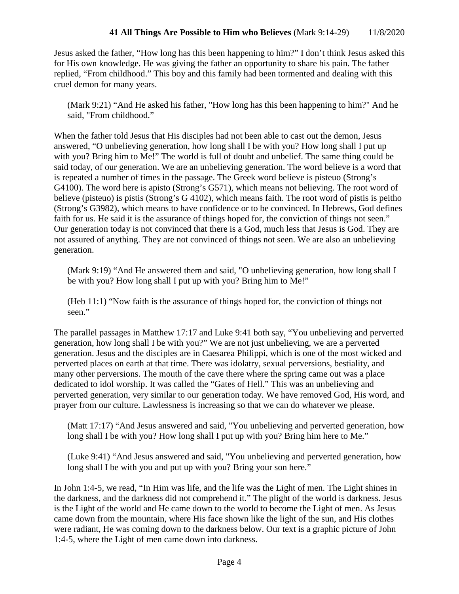Jesus asked the father, "How long has this been happening to him?" I don't think Jesus asked this for His own knowledge. He was giving the father an opportunity to share his pain. The father replied, "From childhood." This boy and this family had been tormented and dealing with this cruel demon for many years.

(Mark 9:21) "And He asked his father, "How long has this been happening to him?" And he said, "From childhood."

When the father told Jesus that His disciples had not been able to cast out the demon, Jesus answered, "O unbelieving generation, how long shall I be with you? How long shall I put up with you? Bring him to Me!" The world is full of doubt and unbelief. The same thing could be said today, of our generation. We are an unbelieving generation. The word believe is a word that is repeated a number of times in the passage. The Greek word believe is pisteuo (Strong's G4100). The word here is apisto (Strong's G571), which means not believing. The root word of believe (pisteuo) is pistis (Strong's G 4102), which means faith. The root word of pistis is peitho (Strong's G3982), which means to have confidence or to be convinced. In Hebrews, God defines faith for us. He said it is the assurance of things hoped for, the conviction of things not seen." Our generation today is not convinced that there is a God, much less that Jesus is God. They are not assured of anything. They are not convinced of things not seen. We are also an unbelieving generation.

(Mark 9:19) "And He answered them and said, "O unbelieving generation, how long shall I be with you? How long shall I put up with you? Bring him to Me!"

(Heb 11:1) "Now faith is the assurance of things hoped for, the conviction of things not seen."

The parallel passages in Matthew 17:17 and Luke 9:41 both say, "You unbelieving and perverted generation, how long shall I be with you?" We are not just unbelieving, we are a perverted generation. Jesus and the disciples are in Caesarea Philippi, which is one of the most wicked and perverted places on earth at that time. There was idolatry, sexual perversions, bestiality, and many other perversions. The mouth of the cave there where the spring came out was a place dedicated to idol worship. It was called the "Gates of Hell." This was an unbelieving and perverted generation, very similar to our generation today. We have removed God, His word, and prayer from our culture. Lawlessness is increasing so that we can do whatever we please.

(Matt 17:17) "And Jesus answered and said, "You unbelieving and perverted generation, how long shall I be with you? How long shall I put up with you? Bring him here to Me."

(Luke 9:41) "And Jesus answered and said, "You unbelieving and perverted generation, how long shall I be with you and put up with you? Bring your son here."

In John 1:4-5, we read, "In Him was life, and the life was the Light of men. The Light shines in the darkness, and the darkness did not comprehend it." The plight of the world is darkness. Jesus is the Light of the world and He came down to the world to become the Light of men. As Jesus came down from the mountain, where His face shown like the light of the sun, and His clothes were radiant, He was coming down to the darkness below. Our text is a graphic picture of John 1:4-5, where the Light of men came down into darkness.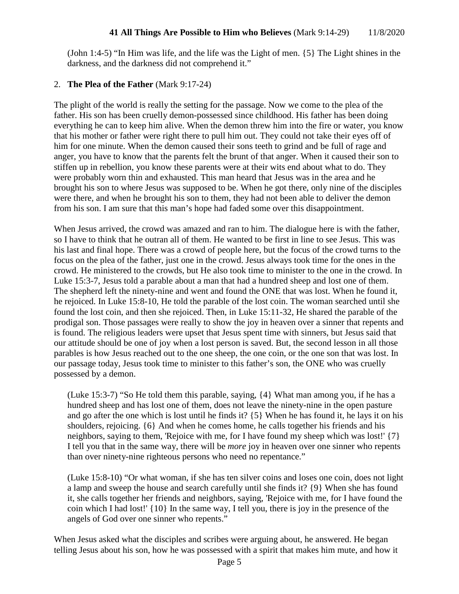(John 1:4-5) "In Him was life, and the life was the Light of men. {5} The Light shines in the darkness, and the darkness did not comprehend it."

## 2. **The Plea of the Father** (Mark 9:17-24)

The plight of the world is really the setting for the passage. Now we come to the plea of the father. His son has been cruelly demon-possessed since childhood. His father has been doing everything he can to keep him alive. When the demon threw him into the fire or water, you know that his mother or father were right there to pull him out. They could not take their eyes off of him for one minute. When the demon caused their sons teeth to grind and be full of rage and anger, you have to know that the parents felt the brunt of that anger. When it caused their son to stiffen up in rebellion, you know these parents were at their wits end about what to do. They were probably worn thin and exhausted. This man heard that Jesus was in the area and he brought his son to where Jesus was supposed to be. When he got there, only nine of the disciples were there, and when he brought his son to them, they had not been able to deliver the demon from his son. I am sure that this man's hope had faded some over this disappointment.

When Jesus arrived, the crowd was amazed and ran to him. The dialogue here is with the father, so I have to think that he outran all of them. He wanted to be first in line to see Jesus. This was his last and final hope. There was a crowd of people here, but the focus of the crowd turns to the focus on the plea of the father, just one in the crowd. Jesus always took time for the ones in the crowd. He ministered to the crowds, but He also took time to minister to the one in the crowd. In Luke 15:3-7, Jesus told a parable about a man that had a hundred sheep and lost one of them. The shepherd left the ninety-nine and went and found the ONE that was lost. When he found it, he rejoiced. In Luke 15:8-10, He told the parable of the lost coin. The woman searched until she found the lost coin, and then she rejoiced. Then, in Luke 15:11-32, He shared the parable of the prodigal son. Those passages were really to show the joy in heaven over a sinner that repents and is found. The religious leaders were upset that Jesus spent time with sinners, but Jesus said that our attitude should be one of joy when a lost person is saved. But, the second lesson in all those parables is how Jesus reached out to the one sheep, the one coin, or the one son that was lost. In our passage today, Jesus took time to minister to this father's son, the ONE who was cruelly possessed by a demon.

(Luke 15:3-7) "So He told them this parable, saying, {4} What man among you, if he has a hundred sheep and has lost one of them, does not leave the ninety-nine in the open pasture and go after the one which is lost until he finds it? {5} When he has found it, he lays it on his shoulders, rejoicing. {6} And when he comes home, he calls together his friends and his neighbors, saying to them, 'Rejoice with me, for I have found my sheep which was lost!' {7} I tell you that in the same way, there will be *more* joy in heaven over one sinner who repents than over ninety-nine righteous persons who need no repentance."

(Luke 15:8-10) "Or what woman, if she has ten silver coins and loses one coin, does not light a lamp and sweep the house and search carefully until she finds it? {9} When she has found it, she calls together her friends and neighbors, saying, 'Rejoice with me, for I have found the coin which I had lost!' {10} In the same way, I tell you, there is joy in the presence of the angels of God over one sinner who repents."

When Jesus asked what the disciples and scribes were arguing about, he answered. He began telling Jesus about his son, how he was possessed with a spirit that makes him mute, and how it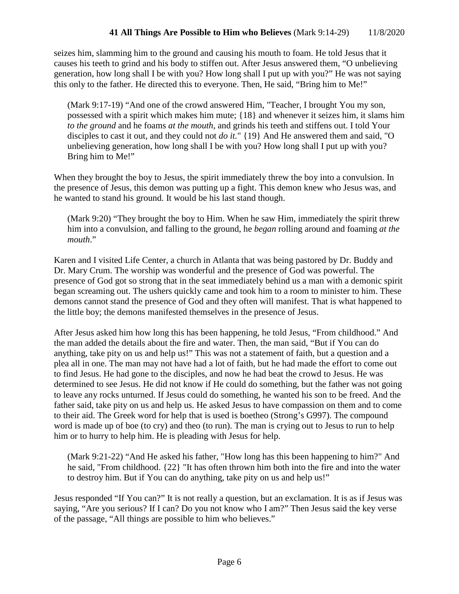seizes him, slamming him to the ground and causing his mouth to foam. He told Jesus that it causes his teeth to grind and his body to stiffen out. After Jesus answered them, "O unbelieving generation, how long shall I be with you? How long shall I put up with you?" He was not saying this only to the father. He directed this to everyone. Then, He said, "Bring him to Me!"

(Mark 9:17-19) "And one of the crowd answered Him, "Teacher, I brought You my son, possessed with a spirit which makes him mute; {18} and whenever it seizes him, it slams him *to the ground* and he foams *at the mouth,* and grinds his teeth and stiffens out. I told Your disciples to cast it out, and they could not *do it.*" {19} And He answered them and said, "O unbelieving generation, how long shall I be with you? How long shall I put up with you? Bring him to Me!"

When they brought the boy to Jesus, the spirit immediately threw the boy into a convulsion. In the presence of Jesus, this demon was putting up a fight. This demon knew who Jesus was, and he wanted to stand his ground. It would be his last stand though.

(Mark 9:20) "They brought the boy to Him. When he saw Him, immediately the spirit threw him into a convulsion, and falling to the ground, he *began* rolling around and foaming *at the mouth*."

Karen and I visited Life Center, a church in Atlanta that was being pastored by Dr. Buddy and Dr. Mary Crum. The worship was wonderful and the presence of God was powerful. The presence of God got so strong that in the seat immediately behind us a man with a demonic spirit began screaming out. The ushers quickly came and took him to a room to minister to him. These demons cannot stand the presence of God and they often will manifest. That is what happened to the little boy; the demons manifested themselves in the presence of Jesus.

After Jesus asked him how long this has been happening, he told Jesus, "From childhood." And the man added the details about the fire and water. Then, the man said, "But if You can do anything, take pity on us and help us!" This was not a statement of faith, but a question and a plea all in one. The man may not have had a lot of faith, but he had made the effort to come out to find Jesus. He had gone to the disciples, and now he had beat the crowd to Jesus. He was determined to see Jesus. He did not know if He could do something, but the father was not going to leave any rocks unturned. If Jesus could do something, he wanted his son to be freed. And the father said, take pity on us and help us. He asked Jesus to have compassion on them and to come to their aid. The Greek word for help that is used is boetheo (Strong's G997). The compound word is made up of boe (to cry) and theo (to run). The man is crying out to Jesus to run to help him or to hurry to help him. He is pleading with Jesus for help.

(Mark 9:21-22) "And He asked his father, "How long has this been happening to him?" And he said, "From childhood. {22} "It has often thrown him both into the fire and into the water to destroy him. But if You can do anything, take pity on us and help us!"

Jesus responded "If You can?" It is not really a question, but an exclamation. It is as if Jesus was saying, "Are you serious? If I can? Do you not know who I am?" Then Jesus said the key verse of the passage, "All things are possible to him who believes."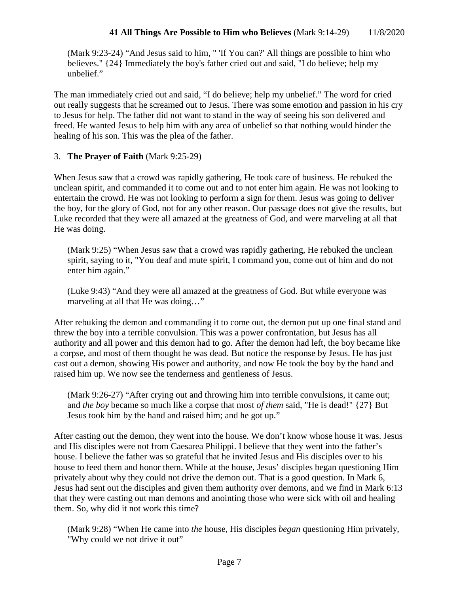(Mark 9:23-24) "And Jesus said to him, " 'If You can?' All things are possible to him who believes." {24} Immediately the boy's father cried out and said, "I do believe; help my unbelief."

The man immediately cried out and said, "I do believe; help my unbelief." The word for cried out really suggests that he screamed out to Jesus. There was some emotion and passion in his cry to Jesus for help. The father did not want to stand in the way of seeing his son delivered and freed. He wanted Jesus to help him with any area of unbelief so that nothing would hinder the healing of his son. This was the plea of the father.

## 3. **The Prayer of Faith** (Mark 9:25-29)

When Jesus saw that a crowd was rapidly gathering, He took care of business. He rebuked the unclean spirit, and commanded it to come out and to not enter him again. He was not looking to entertain the crowd. He was not looking to perform a sign for them. Jesus was going to deliver the boy, for the glory of God, not for any other reason. Our passage does not give the results, but Luke recorded that they were all amazed at the greatness of God, and were marveling at all that He was doing.

(Mark 9:25) "When Jesus saw that a crowd was rapidly gathering, He rebuked the unclean spirit, saying to it, "You deaf and mute spirit, I command you, come out of him and do not enter him again."

(Luke 9:43) "And they were all amazed at the greatness of God. But while everyone was marveling at all that He was doing…"

After rebuking the demon and commanding it to come out, the demon put up one final stand and threw the boy into a terrible convulsion. This was a power confrontation, but Jesus has all authority and all power and this demon had to go. After the demon had left, the boy became like a corpse, and most of them thought he was dead. But notice the response by Jesus. He has just cast out a demon, showing His power and authority, and now He took the boy by the hand and raised him up. We now see the tenderness and gentleness of Jesus.

(Mark 9:26-27) "After crying out and throwing him into terrible convulsions, it came out; and *the boy* became so much like a corpse that most *of them* said, "He is dead!" {27} But Jesus took him by the hand and raised him; and he got up."

After casting out the demon, they went into the house. We don't know whose house it was. Jesus and His disciples were not from Caesarea Philippi. I believe that they went into the father's house. I believe the father was so grateful that he invited Jesus and His disciples over to his house to feed them and honor them. While at the house, Jesus' disciples began questioning Him privately about why they could not drive the demon out. That is a good question. In Mark 6, Jesus had sent out the disciples and given them authority over demons, and we find in Mark 6:13 that they were casting out man demons and anointing those who were sick with oil and healing them. So, why did it not work this time?

(Mark 9:28) "When He came into *the* house, His disciples *began* questioning Him privately, "Why could we not drive it out"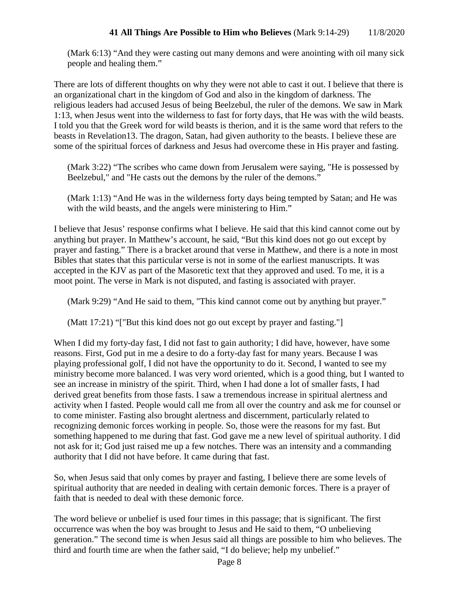(Mark 6:13) "And they were casting out many demons and were anointing with oil many sick people and healing them."

There are lots of different thoughts on why they were not able to cast it out. I believe that there is an organizational chart in the kingdom of God and also in the kingdom of darkness. The religious leaders had accused Jesus of being Beelzebul, the ruler of the demons. We saw in Mark 1:13, when Jesus went into the wilderness to fast for forty days, that He was with the wild beasts. I told you that the Greek word for wild beasts is therion, and it is the same word that refers to the beasts in Revelation13. The dragon, Satan, had given authority to the beasts. I believe these are some of the spiritual forces of darkness and Jesus had overcome these in His prayer and fasting.

(Mark 3:22) "The scribes who came down from Jerusalem were saying, "He is possessed by Beelzebul," and "He casts out the demons by the ruler of the demons."

(Mark 1:13) "And He was in the wilderness forty days being tempted by Satan; and He was with the wild beasts, and the angels were ministering to Him."

I believe that Jesus' response confirms what I believe. He said that this kind cannot come out by anything but prayer. In Matthew's account, he said, "But this kind does not go out except by prayer and fasting." There is a bracket around that verse in Matthew, and there is a note in most Bibles that states that this particular verse is not in some of the earliest manuscripts. It was accepted in the KJV as part of the Masoretic text that they approved and used. To me, it is a moot point. The verse in Mark is not disputed, and fasting is associated with prayer.

(Mark 9:29) "And He said to them, "This kind cannot come out by anything but prayer."

(Matt 17:21) "["But this kind does not go out except by prayer and fasting."]

When I did my forty-day fast, I did not fast to gain authority; I did have, however, have some reasons. First, God put in me a desire to do a forty-day fast for many years. Because I was playing professional golf, I did not have the opportunity to do it. Second, I wanted to see my ministry become more balanced. I was very word oriented, which is a good thing, but I wanted to see an increase in ministry of the spirit. Third, when I had done a lot of smaller fasts, I had derived great benefits from those fasts. I saw a tremendous increase in spiritual alertness and activity when I fasted. People would call me from all over the country and ask me for counsel or to come minister. Fasting also brought alertness and discernment, particularly related to recognizing demonic forces working in people. So, those were the reasons for my fast. But something happened to me during that fast. God gave me a new level of spiritual authority. I did not ask for it; God just raised me up a few notches. There was an intensity and a commanding authority that I did not have before. It came during that fast.

So, when Jesus said that only comes by prayer and fasting, I believe there are some levels of spiritual authority that are needed in dealing with certain demonic forces. There is a prayer of faith that is needed to deal with these demonic force.

The word believe or unbelief is used four times in this passage; that is significant. The first occurrence was when the boy was brought to Jesus and He said to them, "O unbelieving generation." The second time is when Jesus said all things are possible to him who believes. The third and fourth time are when the father said, "I do believe; help my unbelief."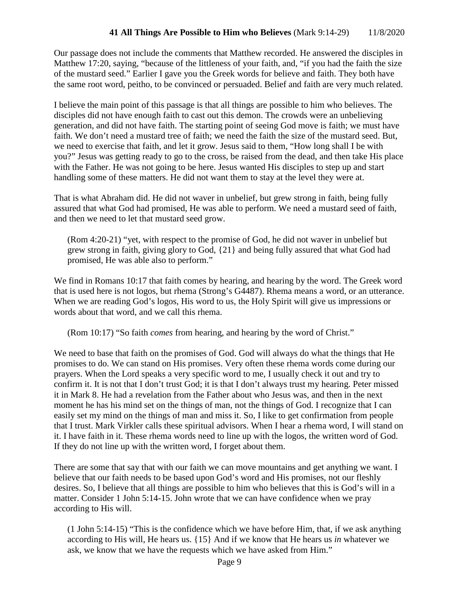Our passage does not include the comments that Matthew recorded. He answered the disciples in Matthew 17:20, saying, "because of the littleness of your faith, and, "if you had the faith the size of the mustard seed." Earlier I gave you the Greek words for believe and faith. They both have the same root word, peitho, to be convinced or persuaded. Belief and faith are very much related.

I believe the main point of this passage is that all things are possible to him who believes. The disciples did not have enough faith to cast out this demon. The crowds were an unbelieving generation, and did not have faith. The starting point of seeing God move is faith; we must have faith. We don't need a mustard tree of faith; we need the faith the size of the mustard seed. But, we need to exercise that faith, and let it grow. Jesus said to them, "How long shall I be with you?" Jesus was getting ready to go to the cross, be raised from the dead, and then take His place with the Father. He was not going to be here. Jesus wanted His disciples to step up and start handling some of these matters. He did not want them to stay at the level they were at.

That is what Abraham did. He did not waver in unbelief, but grew strong in faith, being fully assured that what God had promised, He was able to perform. We need a mustard seed of faith, and then we need to let that mustard seed grow.

(Rom 4:20-21) "yet, with respect to the promise of God, he did not waver in unbelief but grew strong in faith, giving glory to God, {21} and being fully assured that what God had promised, He was able also to perform."

We find in Romans 10:17 that faith comes by hearing, and hearing by the word. The Greek word that is used here is not logos, but rhema (Strong's G4487). Rhema means a word, or an utterance. When we are reading God's logos, His word to us, the Holy Spirit will give us impressions or words about that word, and we call this rhema.

(Rom 10:17) "So faith *comes* from hearing, and hearing by the word of Christ."

We need to base that faith on the promises of God. God will always do what the things that He promises to do. We can stand on His promises. Very often these rhema words come during our prayers. When the Lord speaks a very specific word to me, I usually check it out and try to confirm it. It is not that I don't trust God; it is that I don't always trust my hearing. Peter missed it in Mark 8. He had a revelation from the Father about who Jesus was, and then in the next moment he has his mind set on the things of man, not the things of God. I recognize that I can easily set my mind on the things of man and miss it. So, I like to get confirmation from people that I trust. Mark Virkler calls these spiritual advisors. When I hear a rhema word, I will stand on it. I have faith in it. These rhema words need to line up with the logos, the written word of God. If they do not line up with the written word, I forget about them.

There are some that say that with our faith we can move mountains and get anything we want. I believe that our faith needs to be based upon God's word and His promises, not our fleshly desires. So, I believe that all things are possible to him who believes that this is God's will in a matter. Consider 1 John 5:14-15. John wrote that we can have confidence when we pray according to His will.

(1 John 5:14-15) "This is the confidence which we have before Him, that, if we ask anything according to His will, He hears us. {15} And if we know that He hears us *in* whatever we ask, we know that we have the requests which we have asked from Him."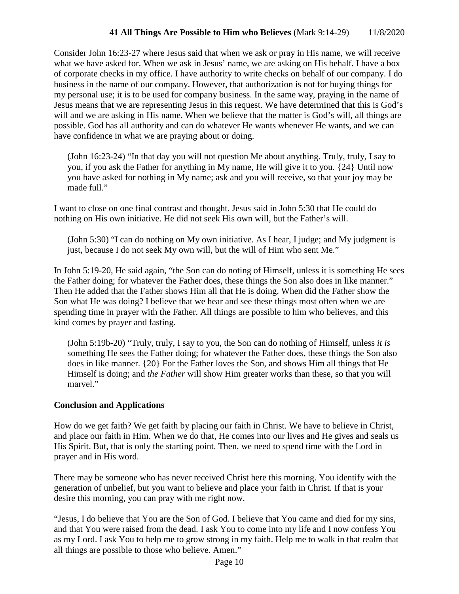Consider John 16:23-27 where Jesus said that when we ask or pray in His name, we will receive what we have asked for. When we ask in Jesus' name, we are asking on His behalf. I have a box of corporate checks in my office. I have authority to write checks on behalf of our company. I do business in the name of our company. However, that authorization is not for buying things for my personal use; it is to be used for company business. In the same way, praying in the name of Jesus means that we are representing Jesus in this request. We have determined that this is God's will and we are asking in His name. When we believe that the matter is God's will, all things are possible. God has all authority and can do whatever He wants whenever He wants, and we can have confidence in what we are praying about or doing.

(John 16:23-24) "In that day you will not question Me about anything. Truly, truly, I say to you, if you ask the Father for anything in My name, He will give it to you. {24} Until now you have asked for nothing in My name; ask and you will receive, so that your joy may be made full."

I want to close on one final contrast and thought. Jesus said in John 5:30 that He could do nothing on His own initiative. He did not seek His own will, but the Father's will.

(John 5:30) "I can do nothing on My own initiative. As I hear, I judge; and My judgment is just, because I do not seek My own will, but the will of Him who sent Me."

In John 5:19-20, He said again, "the Son can do noting of Himself, unless it is something He sees the Father doing; for whatever the Father does, these things the Son also does in like manner." Then He added that the Father shows Him all that He is doing. When did the Father show the Son what He was doing? I believe that we hear and see these things most often when we are spending time in prayer with the Father. All things are possible to him who believes, and this kind comes by prayer and fasting.

(John 5:19b-20) "Truly, truly, I say to you, the Son can do nothing of Himself, unless *it is* something He sees the Father doing; for whatever the Father does, these things the Son also does in like manner. {20} For the Father loves the Son, and shows Him all things that He Himself is doing; and *the Father* will show Him greater works than these, so that you will marvel."

# **Conclusion and Applications**

How do we get faith? We get faith by placing our faith in Christ. We have to believe in Christ, and place our faith in Him. When we do that, He comes into our lives and He gives and seals us His Spirit. But, that is only the starting point. Then, we need to spend time with the Lord in prayer and in His word.

There may be someone who has never received Christ here this morning. You identify with the generation of unbelief, but you want to believe and place your faith in Christ. If that is your desire this morning, you can pray with me right now.

"Jesus, I do believe that You are the Son of God. I believe that You came and died for my sins, and that You were raised from the dead. I ask You to come into my life and I now confess You as my Lord. I ask You to help me to grow strong in my faith. Help me to walk in that realm that all things are possible to those who believe. Amen."